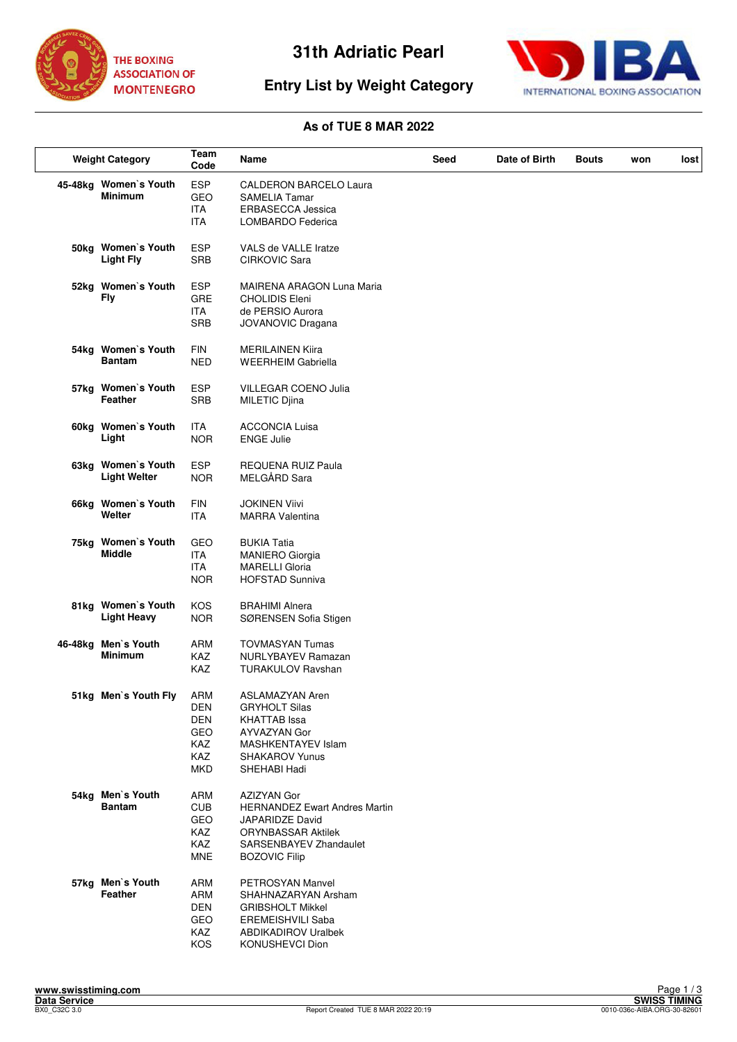

# **Entry List by Weight Category**



#### **As of TUE 8 MAR 2022**

| <b>Weight Category</b> |                                           | Team<br>Code                                                              | Name                                                                                                                                                         | Seed | Date of Birth | Bouts | won | lost |
|------------------------|-------------------------------------------|---------------------------------------------------------------------------|--------------------------------------------------------------------------------------------------------------------------------------------------------------|------|---------------|-------|-----|------|
|                        | 45-48kg Women's Youth<br><b>Minimum</b>   | <b>ESP</b><br>GEO<br>ITA<br><b>ITA</b>                                    | <b>CALDERON BARCELO Laura</b><br><b>SAMELIA Tamar</b><br><b>ERBASECCA Jessica</b><br>LOMBARDO Federica                                                       |      |               |       |     |      |
|                        | 50kg Women's Youth<br><b>Light Fly</b>    | <b>ESP</b><br><b>SRB</b>                                                  | VALS de VALLE Iratze<br>CIRKOVIC Sara                                                                                                                        |      |               |       |     |      |
|                        | 52kg Women's Youth<br>Fly                 | <b>ESP</b><br><b>GRE</b><br><b>ITA</b><br><b>SRB</b>                      | MAIRENA ARAGON Luna Maria<br><b>CHOLIDIS Eleni</b><br>de PERSIO Aurora<br>JOVANOVIC Dragana                                                                  |      |               |       |     |      |
|                        | 54kg Women's Youth<br><b>Bantam</b>       | <b>FIN</b><br><b>NED</b>                                                  | <b>MERILAINEN Kiira</b><br><b>WEERHEIM Gabriella</b>                                                                                                         |      |               |       |     |      |
|                        | 57kg Women's Youth<br>Feather             | <b>ESP</b><br><b>SRB</b>                                                  | <b>VILLEGAR COENO Julia</b><br>MILETIC Djina                                                                                                                 |      |               |       |     |      |
|                        | 60kg Women's Youth<br>Light               | ITA<br><b>NOR</b>                                                         | <b>ACCONCIA Luisa</b><br><b>ENGE Julie</b>                                                                                                                   |      |               |       |     |      |
|                        | 63kg Women's Youth<br><b>Light Welter</b> | <b>ESP</b><br><b>NOR</b>                                                  | <b>REQUENA RUIZ Paula</b><br>MELGÅRD Sara                                                                                                                    |      |               |       |     |      |
|                        | 66kg Women's Youth<br>Welter              | <b>FIN</b><br><b>ITA</b>                                                  | <b>JOKINEN Viivi</b><br><b>MARRA Valentina</b>                                                                                                               |      |               |       |     |      |
|                        | 75kg Women's Youth<br><b>Middle</b>       | GEO<br><b>ITA</b><br><b>ITA</b><br><b>NOR</b>                             | <b>BUKIA Tatia</b><br><b>MANIERO Giorgia</b><br><b>MARELLI Gloria</b><br><b>HOFSTAD Sunniva</b>                                                              |      |               |       |     |      |
|                        | 81kg Women's Youth<br><b>Light Heavy</b>  | KOS<br><b>NOR</b>                                                         | <b>BRAHIMI Alnera</b><br>SØRENSEN Sofia Stigen                                                                                                               |      |               |       |     |      |
| 46-48kg                | Men's Youth<br><b>Minimum</b>             | <b>ARM</b><br><b>KAZ</b><br><b>KAZ</b>                                    | <b>TOVMASYAN Tumas</b><br>NURLYBAYEV Ramazan<br><b>TURAKULOV Ravshan</b>                                                                                     |      |               |       |     |      |
|                        | 51kg Men's Youth Fly                      | ARM<br><b>DEN</b><br><b>DEN</b><br>GEO<br>KAZ<br><b>KAZ</b><br><b>MKD</b> | <b>ASLAMAZYAN Aren</b><br><b>GRYHOLT Silas</b><br><b>KHATTAB</b> Issa<br>AYVAZYAN Gor<br>MASHKENTAYEV Islam<br><b>SHAKAROV Yunus</b><br>SHEHABI Hadi         |      |               |       |     |      |
|                        | 54kg Men's Youth<br><b>Bantam</b>         | <b>ARM</b><br><b>CUB</b><br><b>GEO</b><br>KAZ<br><b>KAZ</b><br><b>MNE</b> | AZIZYAN Gor<br><b>HERNANDEZ Ewart Andres Martin</b><br><b>JAPARIDZE David</b><br><b>ORYNBASSAR Aktilek</b><br>SARSENBAYEV Zhandaulet<br><b>BOZOVIC Filip</b> |      |               |       |     |      |
|                        | 57kg Men's Youth<br>Feather               | ARM<br>ARM<br>DEN<br>GEO<br>KAZ<br>KOS                                    | PETROSYAN Manvel<br>SHAHNAZARYAN Arsham<br><b>GRIBSHOLT Mikkel</b><br><b>EREMEISHVILI Saba</b><br><b>ABDIKADIROV Uralbek</b><br>KONUSHEVCI Dion              |      |               |       |     |      |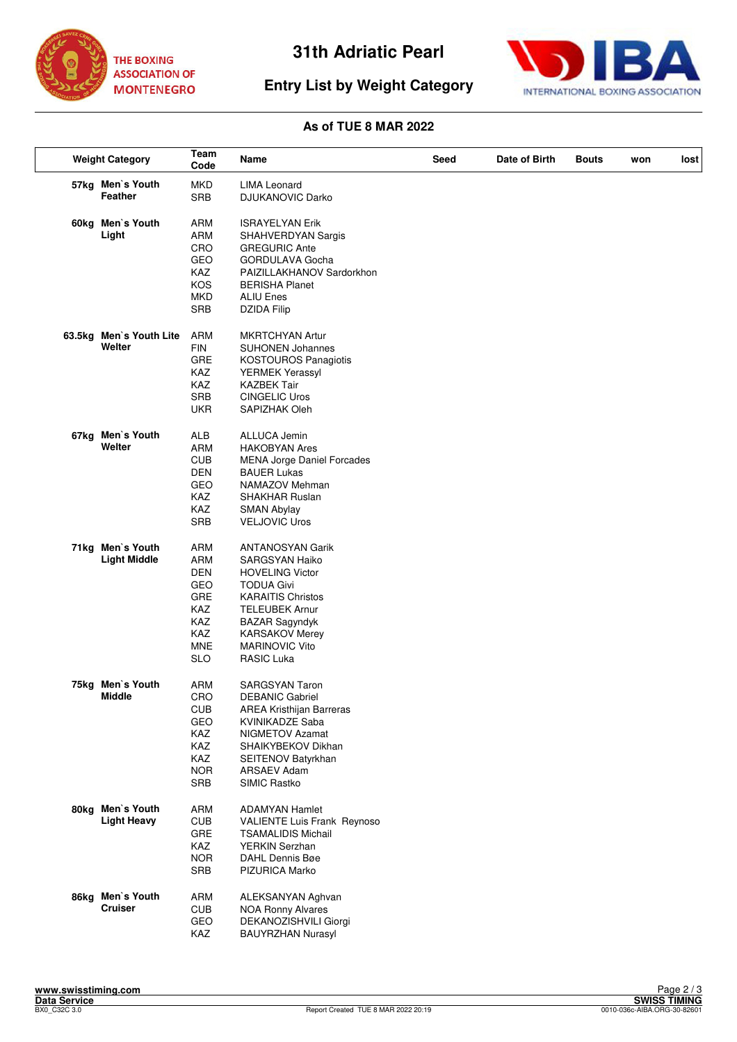



# **Entry List by Weight Category**

### **As of TUE 8 MAR 2022**

| <b>Weight Category</b> |                             | Team<br>Code      | Name                                    | Seed | Date of Birth | <b>Bouts</b> | won | lost |
|------------------------|-----------------------------|-------------------|-----------------------------------------|------|---------------|--------------|-----|------|
|                        | 57kg Men's Youth<br>Feather | MKD<br><b>SRB</b> | <b>LIMA Leonard</b><br>DJUKANOVIC Darko |      |               |              |     |      |
|                        | 60kg Men's Youth            | ARM               | <b>ISRAYELYAN Erik</b>                  |      |               |              |     |      |
|                        | Light                       | <b>ARM</b>        | SHAHVERDYAN Sargis                      |      |               |              |     |      |
|                        |                             | CRO               | <b>GREGURIC Ante</b>                    |      |               |              |     |      |
|                        |                             | GEO               | GORDULAVA Gocha                         |      |               |              |     |      |
|                        |                             | KAZ               | PAIZILLAKHANOV Sardorkhon               |      |               |              |     |      |
|                        |                             | KOS               | <b>BERISHA Planet</b>                   |      |               |              |     |      |
|                        |                             | <b>MKD</b>        | <b>ALIU Enes</b>                        |      |               |              |     |      |
|                        |                             | <b>SRB</b>        | <b>DZIDA Filip</b>                      |      |               |              |     |      |
|                        | 63.5kg Men's Youth Lite     | ARM               | <b>MKRTCHYAN Artur</b>                  |      |               |              |     |      |
|                        | Welter                      | <b>FIN</b>        | <b>SUHONEN Johannes</b>                 |      |               |              |     |      |
|                        |                             | GRE               | <b>KOSTOUROS Panagiotis</b>             |      |               |              |     |      |
|                        |                             | KAZ               | YERMEK Yerassyl                         |      |               |              |     |      |
|                        |                             | KAZ               | <b>KAZBEK Tair</b>                      |      |               |              |     |      |
|                        |                             | <b>SRB</b>        | <b>CINGELIC Uros</b>                    |      |               |              |     |      |
|                        |                             | <b>UKR</b>        | SAPIZHAK Oleh                           |      |               |              |     |      |
|                        | 67kg Men's Youth            | ALB               | ALLUCA Jemin                            |      |               |              |     |      |
|                        | Welter                      | <b>ARM</b>        | <b>HAKOBYAN Ares</b>                    |      |               |              |     |      |
|                        |                             | <b>CUB</b>        | <b>MENA Jorge Daniel Forcades</b>       |      |               |              |     |      |
|                        |                             | <b>DEN</b>        | <b>BAUER Lukas</b>                      |      |               |              |     |      |
|                        |                             | GEO               | NAMAZOV Mehman                          |      |               |              |     |      |
|                        |                             | KAZ               | <b>SHAKHAR Ruslan</b>                   |      |               |              |     |      |
|                        |                             | KAZ               | <b>SMAN Abylay</b>                      |      |               |              |     |      |
|                        |                             | <b>SRB</b>        | <b>VELJOVIC Uros</b>                    |      |               |              |     |      |
|                        | 71kg Men's Youth            | <b>ARM</b>        | <b>ANTANOSYAN Garik</b>                 |      |               |              |     |      |
|                        | <b>Light Middle</b>         | ARM               | SARGSYAN Haiko                          |      |               |              |     |      |
|                        |                             | <b>DEN</b>        | <b>HOVELING Victor</b>                  |      |               |              |     |      |
|                        |                             | GEO               | <b>TODUA Givi</b>                       |      |               |              |     |      |
|                        |                             | GRE               | <b>KARAITIS Christos</b>                |      |               |              |     |      |
|                        |                             | KAZ               | <b>TELEUBEK Arnur</b>                   |      |               |              |     |      |
|                        |                             | KAZ               | <b>BAZAR Sagyndyk</b>                   |      |               |              |     |      |
|                        |                             | KAZ               | <b>KARSAKOV Merey</b>                   |      |               |              |     |      |
|                        |                             | <b>MNE</b>        | <b>MARINOVIC Vito</b>                   |      |               |              |     |      |
|                        |                             | <b>SLO</b>        | <b>RASIC Luka</b>                       |      |               |              |     |      |
|                        | 75kg Men's Youth            | <b>ARM</b>        | <b>SARGSYAN Taron</b>                   |      |               |              |     |      |
|                        | <b>Middle</b>               | CRO               | <b>DEBANIC Gabriel</b>                  |      |               |              |     |      |
|                        |                             | <b>CUB</b>        | AREA Kristhijan Barreras                |      |               |              |     |      |
|                        |                             | GEO               | <b>KVINIKADZE Saba</b>                  |      |               |              |     |      |
|                        |                             | KAZ               | NIGMETOV Azamat                         |      |               |              |     |      |
|                        |                             | KAZ               | SHAIKYBEKOV Dikhan                      |      |               |              |     |      |
|                        |                             | <b>KAZ</b>        | SEITENOV Batyrkhan                      |      |               |              |     |      |
|                        |                             | <b>NOR</b>        | ARSAEV Adam                             |      |               |              |     |      |
|                        |                             | <b>SRB</b>        | SIMIC Rastko                            |      |               |              |     |      |
|                        | 80kg Men's Youth            | ARM               | <b>ADAMYAN Hamlet</b>                   |      |               |              |     |      |
|                        | <b>Light Heavy</b>          | <b>CUB</b>        | VALIENTE Luis Frank Reynoso             |      |               |              |     |      |
|                        |                             | GRE               | <b>TSAMALIDIS Michail</b>               |      |               |              |     |      |
|                        |                             | KAZ               | <b>YERKIN Serzhan</b>                   |      |               |              |     |      |
|                        |                             | <b>NOR</b>        | DAHL Dennis Bøe                         |      |               |              |     |      |
|                        |                             | <b>SRB</b>        | PIZURICA Marko                          |      |               |              |     |      |
|                        | 86kg Men's Youth            | ARM               | ALEKSANYAN Aghvan                       |      |               |              |     |      |
|                        | <b>Cruiser</b>              | <b>CUB</b>        | <b>NOA Ronny Alvares</b>                |      |               |              |     |      |
|                        |                             | GEO               | DEKANOZISHVILI Giorgi                   |      |               |              |     |      |
|                        |                             | KAZ               | <b>BAUYRZHAN Nurasyl</b>                |      |               |              |     |      |